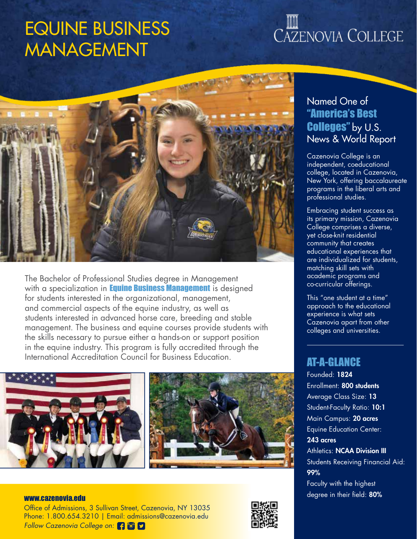## EQUINE BUSINESS MANAGEMENT

# CAZENOVIA COLLEGE



The Bachelor of Professional Studies degree in Management with a specialization in **Equine Business Management** is designed for students interested in the organizational, management, and commercial aspects of the equine industry, as well as students interested in advanced horse care, breeding and stable management. The business and equine courses provide students with the skills necessary to pursue either a hands-on or support position in the equine industry. This program is fully accredited through the International Accreditation Council for Business Education.



### Named One of "America's Best Colleges" by U.S. News & World Report

Cazenovia College is an independent, coeducational college, located in Cazenovia, New York, offering baccalaureate programs in the liberal arts and professional studies.

Embracing student success as its primary mission, Cazenovia College comprises a diverse, yet close-knit residential community that creates educational experiences that are individualized for students, matching skill sets with academic programs and co-curricular offerings.

This "one student at a time" approach to the educational experience is what sets Cazenovia apart from other colleges and universities.

#### AT-A-GLANCE

Founded: 1824 Enrollment: 800 students Average Class Size: 13 Student-Faculty Ratio: 10:1 Main Campus: 20 acres Equine Education Center: 243 acres **Athletics: NCAA Division III** Students Receiving Financial Aid: 99% Faculty with the highest www.cazenovia.edu www.cazenovia.edu www.cazenovia.edu www.cazenovia.edu www.cazenovia.edu www.cazenovia.edu ww

Office of Admissions, 3 Sullivan Street, Cazenovia, NY 13035 Phone: 1.800.654.3210 | Email: admissions@cazenovia.edu *Follow Cazenovia College on:*